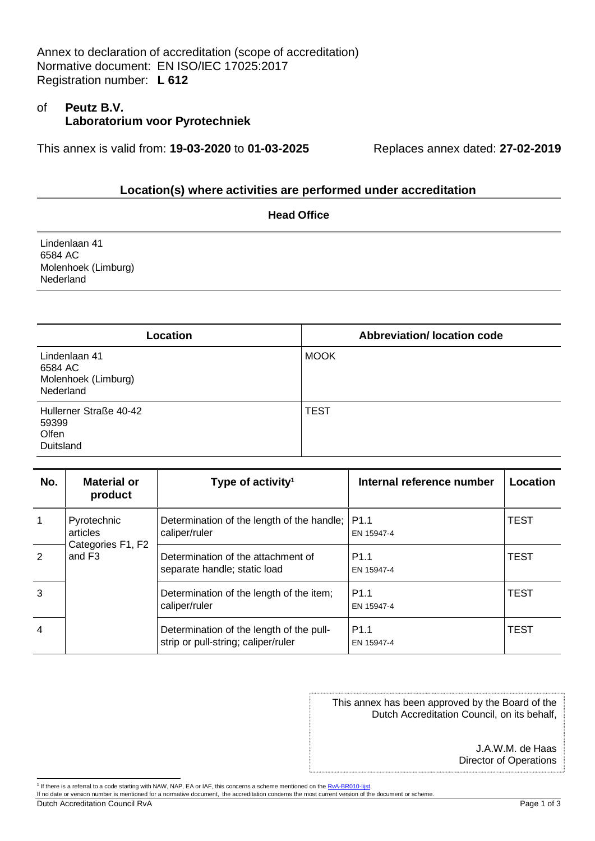Annex to declaration of accreditation (scope of accreditation) Normative document: EN ISO/IEC 17025:2017 Registration number: **L 612**

## of **Peutz B.V. Laboratorium voor Pyrotechniek**

This annex is valid from: **19-03-2020** to **01-03-2025** Replaces annex dated: **27-02-2019**

## **Location(s) where activities are performed under accreditation**

| <b>Head Office</b>                                           |  |  |
|--------------------------------------------------------------|--|--|
| Lindenlaan 41<br>6584 AC<br>Molenhoek (Limburg)<br>Nederland |  |  |
|                                                              |  |  |

| Location                                                     | <b>Abbreviation/ location code</b> |
|--------------------------------------------------------------|------------------------------------|
| Lindenlaan 41<br>6584 AC<br>Molenhoek (Limburg)<br>Nederland | <b>MOOK</b>                        |
| Hullerner Straße 40-42<br>59399<br>Olfen<br>Duitsland        | <b>TEST</b>                        |

| No.            | <b>Material or</b><br>product                                      | Type of activity <sup>1</sup>                                                   | Internal reference number      | Location    |
|----------------|--------------------------------------------------------------------|---------------------------------------------------------------------------------|--------------------------------|-------------|
|                | Pyrotechnic<br>articles<br>Categories F1, F2<br>and F <sub>3</sub> | Determination of the length of the handle;<br>caliper/ruler                     | P <sub>1.1</sub><br>EN 15947-4 | <b>TEST</b> |
| 2              |                                                                    | Determination of the attachment of<br>separate handle; static load              | P <sub>1.1</sub><br>EN 15947-4 | <b>TEST</b> |
| 3              |                                                                    | Determination of the length of the item;<br>caliper/ruler                       | P <sub>1.1</sub><br>EN 15947-4 | <b>TEST</b> |
| $\overline{4}$ |                                                                    | Determination of the length of the pull-<br>strip or pull-string; caliper/ruler | P <sub>1.1</sub><br>EN 15947-4 | <b>TEST</b> |

This annex has been approved by the Board of the Dutch Accreditation Council, on its behalf,

> J.A.W.M. de Haas Director of Operations

Dutch Accreditation Council RvA Page 1 of 3

<sup>&</sup>lt;sup>1</sup> If there is a referral to a code starting with NAW, NAP, EA or IAF, this concerns a scheme mentioned on the <u>RvA-BR010-lijst</u>.<br>If no date or version number is mentioned for a normative document, the accreditation conce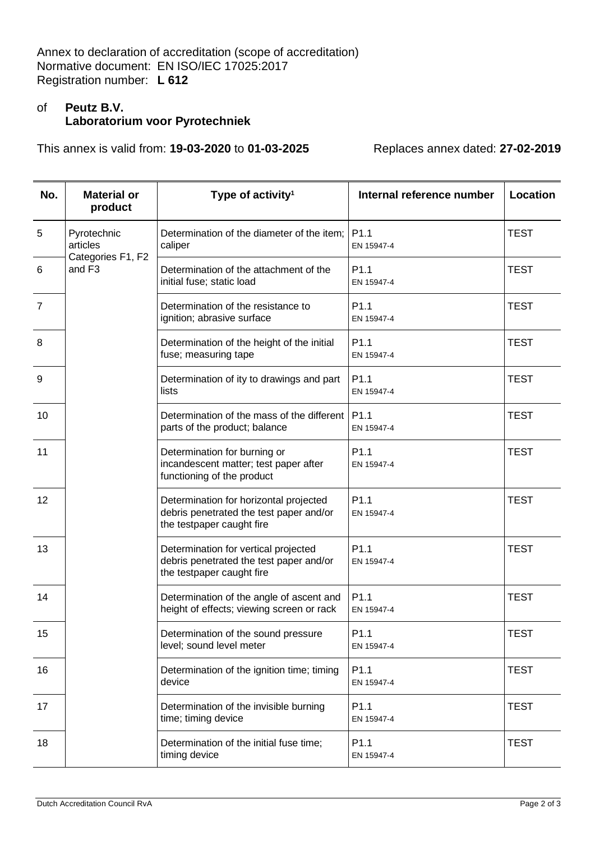Annex to declaration of accreditation (scope of accreditation) Normative document: EN ISO/IEC 17025:2017 Registration number: **L 612**

## of **Peutz B.V. Laboratorium voor Pyrotechniek**

This annex is valid from: **19-03-2020** to **01-03-2025** Replaces annex dated: **27-02-2019**

| No.            | <b>Material or</b><br>product                                      | Type of activity <sup>1</sup>                                                                                  | Internal reference number      | <b>Location</b> |
|----------------|--------------------------------------------------------------------|----------------------------------------------------------------------------------------------------------------|--------------------------------|-----------------|
| 5              | Pyrotechnic<br>articles<br>Categories F1, F2<br>and F <sub>3</sub> | Determination of the diameter of the item;<br>caliper                                                          | P <sub>1.1</sub><br>EN 15947-4 | <b>TEST</b>     |
| 6              |                                                                    | Determination of the attachment of the<br>initial fuse; static load                                            | P1.1<br>EN 15947-4             | <b>TEST</b>     |
| $\overline{7}$ |                                                                    | Determination of the resistance to<br>ignition; abrasive surface                                               | P1.1<br>EN 15947-4             | <b>TEST</b>     |
| 8              |                                                                    | Determination of the height of the initial<br>fuse; measuring tape                                             | P <sub>1.1</sub><br>EN 15947-4 | <b>TEST</b>     |
| 9              |                                                                    | Determination of ity to drawings and part<br>lists                                                             | P <sub>1.1</sub><br>EN 15947-4 | <b>TEST</b>     |
| 10             |                                                                    | Determination of the mass of the different<br>parts of the product; balance                                    | P <sub>1.1</sub><br>EN 15947-4 | <b>TEST</b>     |
| 11             |                                                                    | Determination for burning or<br>incandescent matter; test paper after<br>functioning of the product            | P <sub>1.1</sub><br>EN 15947-4 | <b>TEST</b>     |
| 12             |                                                                    | Determination for horizontal projected<br>debris penetrated the test paper and/or<br>the testpaper caught fire | P <sub>1.1</sub><br>EN 15947-4 | <b>TEST</b>     |
| 13             |                                                                    | Determination for vertical projected<br>debris penetrated the test paper and/or<br>the testpaper caught fire   | P1.1<br>EN 15947-4             | <b>TEST</b>     |
| 14             |                                                                    | Determination of the angle of ascent and<br>height of effects; viewing screen or rack                          | P <sub>1.1</sub><br>EN 15947-4 | <b>TEST</b>     |
| 15             |                                                                    | Determination of the sound pressure<br>level; sound level meter                                                | P1.1<br>EN 15947-4             | <b>TEST</b>     |
| 16             |                                                                    | Determination of the ignition time; timing<br>device                                                           | P1.1<br>EN 15947-4             | <b>TEST</b>     |
| 17             |                                                                    | Determination of the invisible burning<br>time; timing device                                                  | P1.1<br>EN 15947-4             | <b>TEST</b>     |
| 18             |                                                                    | Determination of the initial fuse time;<br>timing device                                                       | P1.1<br>EN 15947-4             | <b>TEST</b>     |